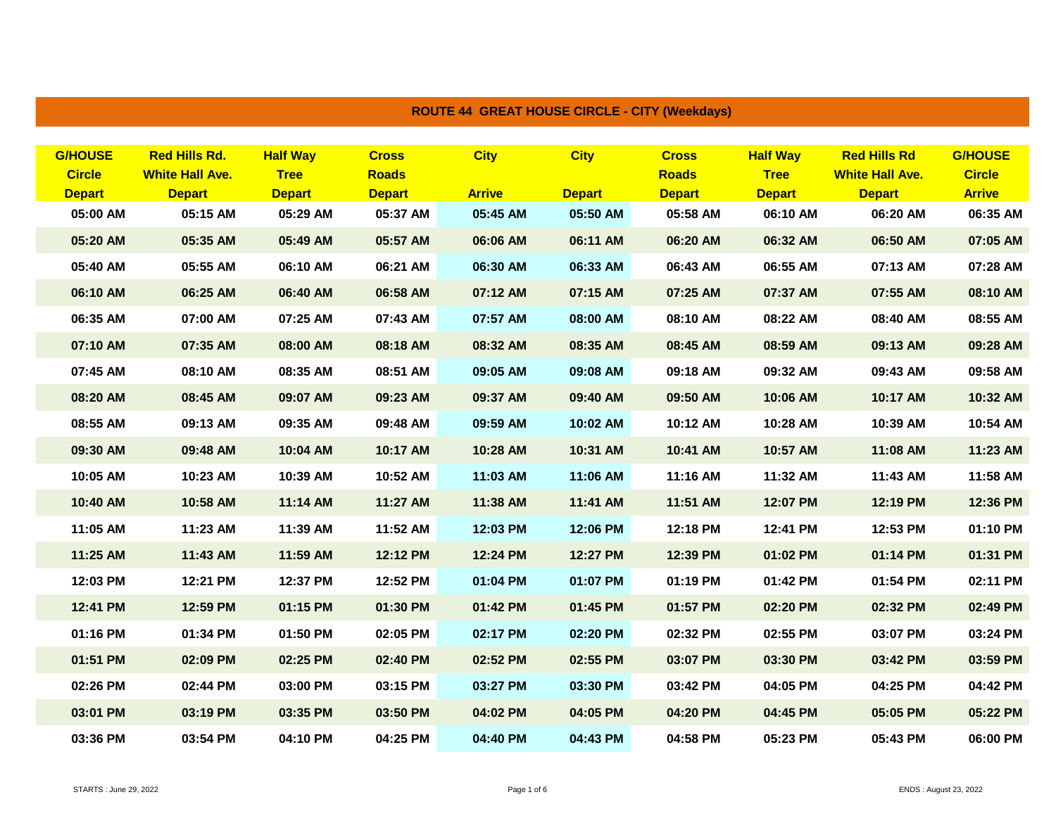| <b>G/HOUSE</b> | <b>Red Hills Rd.</b>   | <b>Half Way</b> | <b>Cross</b>  | <b>City</b>   | <b>City</b>   | <b>Cross</b>  | <b>Half Way</b> | <b>Red Hills Rd</b>    | <b>G/HOUSE</b> |
|----------------|------------------------|-----------------|---------------|---------------|---------------|---------------|-----------------|------------------------|----------------|
| <b>Circle</b>  | <b>White Hall Ave.</b> | <b>Tree</b>     | <b>Roads</b>  |               |               | <b>Roads</b>  | <b>Tree</b>     | <b>White Hall Ave.</b> | <b>Circle</b>  |
| <b>Depart</b>  | <b>Depart</b>          | <b>Depart</b>   | <b>Depart</b> | <b>Arrive</b> | <b>Depart</b> | <b>Depart</b> | <b>Depart</b>   | <b>Depart</b>          | <b>Arrive</b>  |
| 05:00 AM       | 05:15 AM               | 05:29 AM        | 05:37 AM      | 05:45 AM      | 05:50 AM      | 05:58 AM      | 06:10 AM        | 06:20 AM               | 06:35 AM       |
| 05:20 AM       | 05:35 AM               | 05:49 AM        | 05:57 AM      | 06:06 AM      | 06:11 AM      | 06:20 AM      | 06:32 AM        | 06:50 AM               | 07:05 AM       |
| 05:40 AM       | 05:55 AM               | 06:10 AM        | 06:21 AM      | 06:30 AM      | 06:33 AM      | 06:43 AM      | 06:55 AM        | 07:13 AM               | 07:28 AM       |
| 06:10 AM       | 06:25 AM               | 06:40 AM        | 06:58 AM      | 07:12 AM      | 07:15 AM      | 07:25 AM      | 07:37 AM        | 07:55 AM               | 08:10 AM       |
| 06:35 AM       | 07:00 AM               | 07:25 AM        | 07:43 AM      | 07:57 AM      | 08:00 AM      | 08:10 AM      | 08:22 AM        | 08:40 AM               | 08:55 AM       |
| 07:10 AM       | 07:35 AM               | 08:00 AM        | 08:18 AM      | 08:32 AM      | 08:35 AM      | 08:45 AM      | 08:59 AM        | 09:13 AM               | 09:28 AM       |
| 07:45 AM       | 08:10 AM               | 08:35 AM        | 08:51 AM      | 09:05 AM      | 09:08 AM      | 09:18 AM      | 09:32 AM        | 09:43 AM               | 09:58 AM       |
| 08:20 AM       | 08:45 AM               | 09:07 AM        | 09:23 AM      | 09:37 AM      | 09:40 AM      | 09:50 AM      | 10:06 AM        | 10:17 AM               | 10:32 AM       |
| 08:55 AM       | 09:13 AM               | 09:35 AM        | 09:48 AM      | 09:59 AM      | 10:02 AM      | 10:12 AM      | 10:28 AM        | 10:39 AM               | 10:54 AM       |
| 09:30 AM       | 09:48 AM               | 10:04 AM        | 10:17 AM      | 10:28 AM      | 10:31 AM      | 10:41 AM      | 10:57 AM        | 11:08 AM               | 11:23 AM       |
| 10:05 AM       | 10:23 AM               | 10:39 AM        | 10:52 AM      | 11:03 AM      | 11:06 AM      | 11:16 AM      | 11:32 AM        | 11:43 AM               | 11:58 AM       |
| 10:40 AM       | 10:58 AM               | 11:14 AM        | 11:27 AM      | 11:38 AM      | 11:41 AM      | 11:51 AM      | 12:07 PM        | 12:19 PM               | 12:36 PM       |
| 11:05 AM       | 11:23 AM               | 11:39 AM        | 11:52 AM      | 12:03 PM      | 12:06 PM      | 12:18 PM      | 12:41 PM        | 12:53 PM               | 01:10 PM       |
| 11:25 AM       | 11:43 AM               | 11:59 AM        | 12:12 PM      | 12:24 PM      | 12:27 PM      | 12:39 PM      | 01:02 PM        | 01:14 PM               | 01:31 PM       |
| 12:03 PM       | 12:21 PM               | 12:37 PM        | 12:52 PM      | 01:04 PM      | 01:07 PM      | 01:19 PM      | 01:42 PM        | 01:54 PM               | 02:11 PM       |
| 12:41 PM       | 12:59 PM               | 01:15 PM        | 01:30 PM      | 01:42 PM      | 01:45 PM      | 01:57 PM      | 02:20 PM        | 02:32 PM               | 02:49 PM       |
| 01:16 PM       | 01:34 PM               | 01:50 PM        | 02:05 PM      | 02:17 PM      | 02:20 PM      | 02:32 PM      | 02:55 PM        | 03:07 PM               | 03:24 PM       |
| 01:51 PM       | 02:09 PM               | 02:25 PM        | 02:40 PM      | 02:52 PM      | 02:55 PM      | 03:07 PM      | 03:30 PM        | 03:42 PM               | 03:59 PM       |
| 02:26 PM       | 02:44 PM               | 03:00 PM        | 03:15 PM      | 03:27 PM      | 03:30 PM      | 03:42 PM      | 04:05 PM        | 04:25 PM               | 04:42 PM       |
| 03:01 PM       | 03:19 PM               | 03:35 PM        | 03:50 PM      | 04:02 PM      | 04:05 PM      | 04:20 PM      | 04:45 PM        | 05:05 PM               | 05:22 PM       |
| 03:36 PM       | 03:54 PM               | 04:10 PM        | 04:25 PM      | 04:40 PM      | 04:43 PM      | 04:58 PM      | 05:23 PM        | 05:43 PM               | 06:00 PM       |

**ROUTE 44 GREAT HOUSE CIRCLE - CITY (Weekdays)**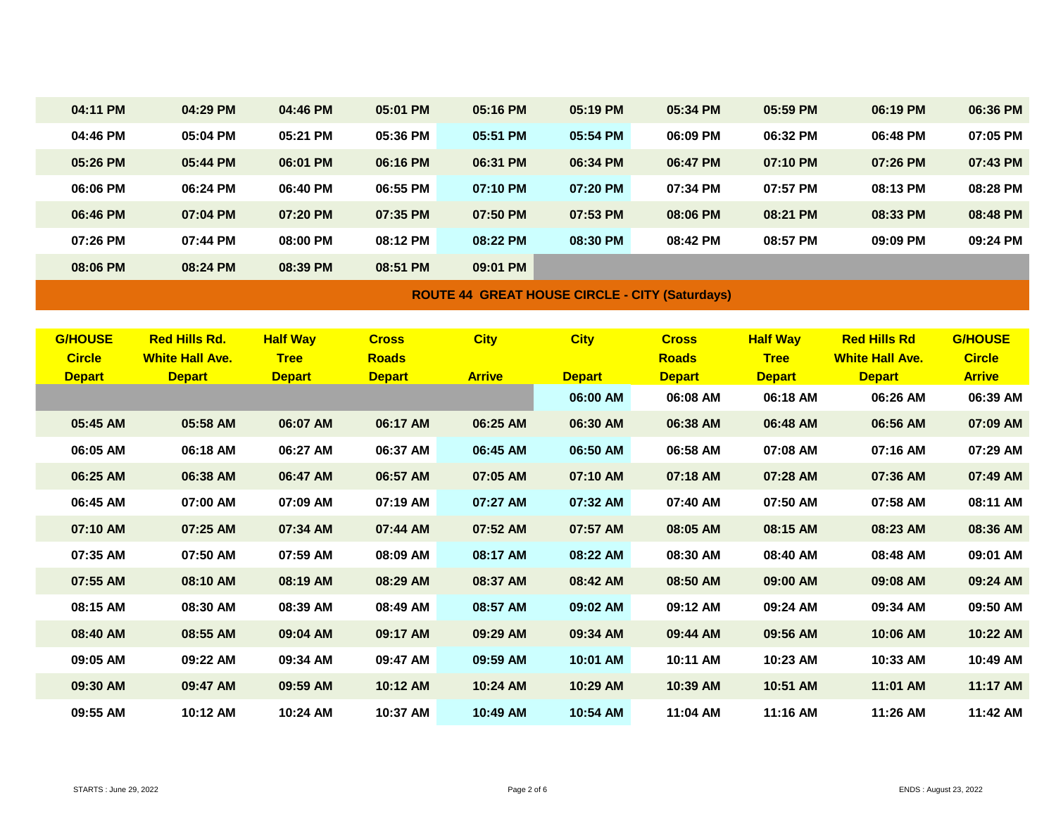| 04:11 PM       | 04:29 PM               | 04:46 PM        | 05:01 PM      | 05:16 PM    | 05:19 PM      | 05:34 PM      | 05:59 PM                                              | 06:19 PM               | 06:36 PM       |
|----------------|------------------------|-----------------|---------------|-------------|---------------|---------------|-------------------------------------------------------|------------------------|----------------|
| 04:46 PM       | 05:04 PM               | 05:21 PM        | 05:36 PM      | 05:51 PM    | 05:54 PM      | 06:09 PM      | 06:32 PM                                              | 06:48 PM               | 07:05 PM       |
| 05:26 PM       | 05:44 PM               | 06:01 PM        | 06:16 PM      | 06:31 PM    | 06:34 PM      | 06:47 PM      | 07:10 PM                                              | 07:26 PM               | 07:43 PM       |
| 06:06 PM       | 06:24 PM               | 06:40 PM        | 06:55 PM      | 07:10 PM    | 07:20 PM      | 07:34 PM      | 07:57 PM                                              | 08:13 PM               | 08:28 PM       |
| 06:46 PM       | 07:04 PM               | 07:20 PM        | 07:35 PM      | 07:50 PM    | 07:53 PM      | 08:06 PM      | 08:21 PM                                              | 08:33 PM               | 08:48 PM       |
| 07:26 PM       | 07:44 PM               | 08:00 PM        | 08:12 PM      | 08:22 PM    | 08:30 PM      | 08:42 PM      | 08:57 PM                                              | 09:09 PM               | 09:24 PM       |
| 08:06 PM       | 08:24 PM               | 08:39 PM        | 08:51 PM      | 09:01 PM    |               |               |                                                       |                        |                |
|                |                        |                 |               |             |               |               |                                                       |                        |                |
|                |                        |                 |               |             |               |               |                                                       |                        |                |
| <b>G/HOUSE</b> | <b>Red Hills Rd.</b>   | <b>Half Way</b> | <b>Cross</b>  | <b>City</b> | <b>City</b>   | <b>Cross</b>  | <b>Half Way</b>                                       | <b>Red Hills Rd</b>    | <b>G/HOUSE</b> |
| <b>Circle</b>  | <b>White Hall Ave.</b> | <b>Tree</b>     | <b>Roads</b>  |             |               | <b>Roads</b>  | <b>Tree</b>                                           | <b>White Hall Ave.</b> | <b>Circle</b>  |
| <b>Depart</b>  | <b>Depart</b>          | <b>Depart</b>   | <b>Depart</b> |             | <b>Depart</b> | <b>Depart</b> | <b>Depart</b>                                         | <b>Depart</b>          | <b>Arrive</b>  |
|                |                        |                 |               |             | 06:00 AM      | 06:08 AM      | 06:18 AM                                              | 06:26 AM               | 06:39 AM       |
| 05:45 AM       | 05:58 AM               | 06:07 AM        | 06:17 AM      | 06:25 AM    | 06:30 AM      | 06:38 AM      | 06:48 AM                                              | 06:56 AM               | 07:09 AM       |
| 06:05 AM       | 06:18 AM               | 06:27 AM        | 06:37 AM      | 06:45 AM    | 06:50 AM      | 06:58 AM      | 07:08 AM                                              | 07:16 AM               | 07:29 AM       |
| 06:25 AM       | 06:38 AM               | 06:47 AM        | 06:57 AM      | 07:05 AM    | 07:10 AM      | 07:18 AM      | 07:28 AM                                              | 07:36 AM               | 07:49 AM       |
| 06:45 AM       | 07:00 AM               | 07:09 AM        | 07:19 AM      | 07:27 AM    | 07:32 AM      | 07:40 AM      | 07:50 AM                                              | 07:58 AM               | 08:11 AM       |
| 07:10 AM       | 07:25 AM               | 07:34 AM        | 07:44 AM      | 07:52 AM    | 07:57 AM      | 08:05 AM      | 08:15 AM                                              | 08:23 AM               | 08:36 AM       |
| 07:35 AM       | 07:50 AM               | 07:59 AM        | 08:09 AM      | 08:17 AM    | 08:22 AM      | 08:30 AM      | 08:40 AM                                              | 08:48 AM               | 09:01 AM       |
| 07:55 AM       | 08:10 AM               | 08:19 AM        | 08:29 AM      | 08:37 AM    | 08:42 AM      | 08:50 AM      | 09:00 AM                                              | 09:08 AM               | 09:24 AM       |
| 08:15 AM       | 08:30 AM               | 08:39 AM        | 08:49 AM      | 08:57 AM    | 09:02 AM      | 09:12 AM      | 09:24 AM                                              | 09:34 AM               | 09:50 AM       |
| 08:40 AM       | 08:55 AM               | 09:04 AM        | 09:17 AM      | 09:29 AM    | 09:34 AM      | 09:44 AM      | 09:56 AM                                              | 10:06 AM               | 10:22 AM       |
| 09:05 AM       | 09:22 AM               | 09:34 AM        | 09:47 AM      | 09:59 AM    | 10:01 AM      | 10:11 AM      | 10:23 AM                                              | 10:33 AM               | 10:49 AM       |
| 09:30 AM       | 09:47 AM               | 09:59 AM        | 10:12 AM      | 10:24 AM    | 10:29 AM      | 10:39 AM      | 10:51 AM                                              | 11:01 AM               | 11:17 AM       |
| 09:55 AM       | 10:12 AM               | 10:24 AM        | 10:37 AM      | 10:49 AM    | 10:54 AM      | 11:04 AM      | 11:16 AM                                              | 11:26 AM               | 11:42 AM       |
|                |                        |                 |               |             | <b>Arrive</b> |               | <b>ROUTE 44 GREAT HOUSE CIRCLE - CITY (Saturdays)</b> |                        |                |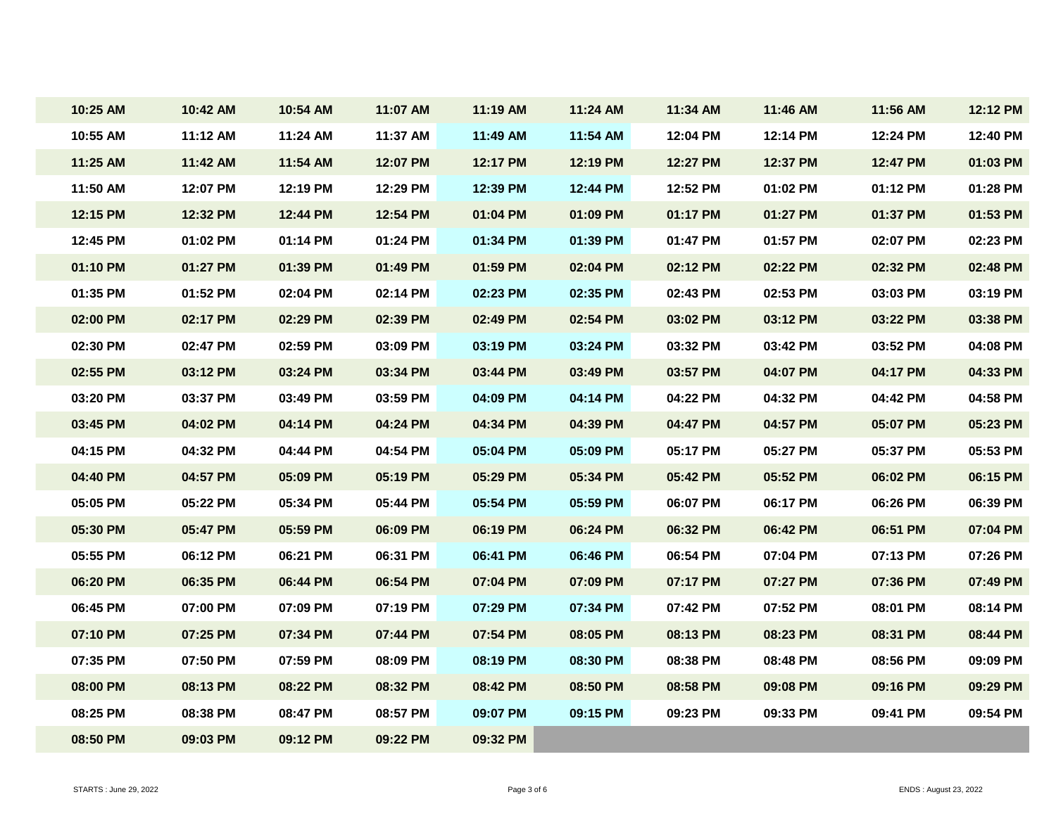| 10:25 AM | 10:42 AM | 10:54 AM | 11:07 AM | 11:19 AM | 11:24 AM | 11:34 AM | 11:46 AM | 11:56 AM | 12:12 PM |
|----------|----------|----------|----------|----------|----------|----------|----------|----------|----------|
| 10:55 AM | 11:12 AM | 11:24 AM | 11:37 AM | 11:49 AM | 11:54 AM | 12:04 PM | 12:14 PM | 12:24 PM | 12:40 PM |
| 11:25 AM | 11:42 AM | 11:54 AM | 12:07 PM | 12:17 PM | 12:19 PM | 12:27 PM | 12:37 PM | 12:47 PM | 01:03 PM |
| 11:50 AM | 12:07 PM | 12:19 PM | 12:29 PM | 12:39 PM | 12:44 PM | 12:52 PM | 01:02 PM | 01:12 PM | 01:28 PM |
| 12:15 PM | 12:32 PM | 12:44 PM | 12:54 PM | 01:04 PM | 01:09 PM | 01:17 PM | 01:27 PM | 01:37 PM | 01:53 PM |
| 12:45 PM | 01:02 PM | 01:14 PM | 01:24 PM | 01:34 PM | 01:39 PM | 01:47 PM | 01:57 PM | 02:07 PM | 02:23 PM |
| 01:10 PM | 01:27 PM | 01:39 PM | 01:49 PM | 01:59 PM | 02:04 PM | 02:12 PM | 02:22 PM | 02:32 PM | 02:48 PM |
| 01:35 PM | 01:52 PM | 02:04 PM | 02:14 PM | 02:23 PM | 02:35 PM | 02:43 PM | 02:53 PM | 03:03 PM | 03:19 PM |
| 02:00 PM | 02:17 PM | 02:29 PM | 02:39 PM | 02:49 PM | 02:54 PM | 03:02 PM | 03:12 PM | 03:22 PM | 03:38 PM |
| 02:30 PM | 02:47 PM | 02:59 PM | 03:09 PM | 03:19 PM | 03:24 PM | 03:32 PM | 03:42 PM | 03:52 PM | 04:08 PM |
| 02:55 PM | 03:12 PM | 03:24 PM | 03:34 PM | 03:44 PM | 03:49 PM | 03:57 PM | 04:07 PM | 04:17 PM | 04:33 PM |
| 03:20 PM | 03:37 PM | 03:49 PM | 03:59 PM | 04:09 PM | 04:14 PM | 04:22 PM | 04:32 PM | 04:42 PM | 04:58 PM |
| 03:45 PM | 04:02 PM | 04:14 PM | 04:24 PM | 04:34 PM | 04:39 PM | 04:47 PM | 04:57 PM | 05:07 PM | 05:23 PM |
| 04:15 PM | 04:32 PM | 04:44 PM | 04:54 PM | 05:04 PM | 05:09 PM | 05:17 PM | 05:27 PM | 05:37 PM | 05:53 PM |
| 04:40 PM | 04:57 PM | 05:09 PM | 05:19 PM | 05:29 PM | 05:34 PM | 05:42 PM | 05:52 PM | 06:02 PM | 06:15 PM |
| 05:05 PM | 05:22 PM | 05:34 PM | 05:44 PM | 05:54 PM | 05:59 PM | 06:07 PM | 06:17 PM | 06:26 PM | 06:39 PM |
| 05:30 PM | 05:47 PM | 05:59 PM | 06:09 PM | 06:19 PM | 06:24 PM | 06:32 PM | 06:42 PM | 06:51 PM | 07:04 PM |
| 05:55 PM | 06:12 PM | 06:21 PM | 06:31 PM | 06:41 PM | 06:46 PM | 06:54 PM | 07:04 PM | 07:13 PM | 07:26 PM |
| 06:20 PM | 06:35 PM | 06:44 PM | 06:54 PM | 07:04 PM | 07:09 PM | 07:17 PM | 07:27 PM | 07:36 PM | 07:49 PM |
| 06:45 PM | 07:00 PM | 07:09 PM | 07:19 PM | 07:29 PM | 07:34 PM | 07:42 PM | 07:52 PM | 08:01 PM | 08:14 PM |
| 07:10 PM | 07:25 PM | 07:34 PM | 07:44 PM | 07:54 PM | 08:05 PM | 08:13 PM | 08:23 PM | 08:31 PM | 08:44 PM |
| 07:35 PM | 07:50 PM | 07:59 PM | 08:09 PM | 08:19 PM | 08:30 PM | 08:38 PM | 08:48 PM | 08:56 PM | 09:09 PM |
| 08:00 PM | 08:13 PM | 08:22 PM | 08:32 PM | 08:42 PM | 08:50 PM | 08:58 PM | 09:08 PM | 09:16 PM | 09:29 PM |
| 08:25 PM | 08:38 PM | 08:47 PM | 08:57 PM | 09:07 PM | 09:15 PM | 09:23 PM | 09:33 PM | 09:41 PM | 09:54 PM |
| 08:50 PM | 09:03 PM | 09:12 PM | 09:22 PM | 09:32 PM |          |          |          |          |          |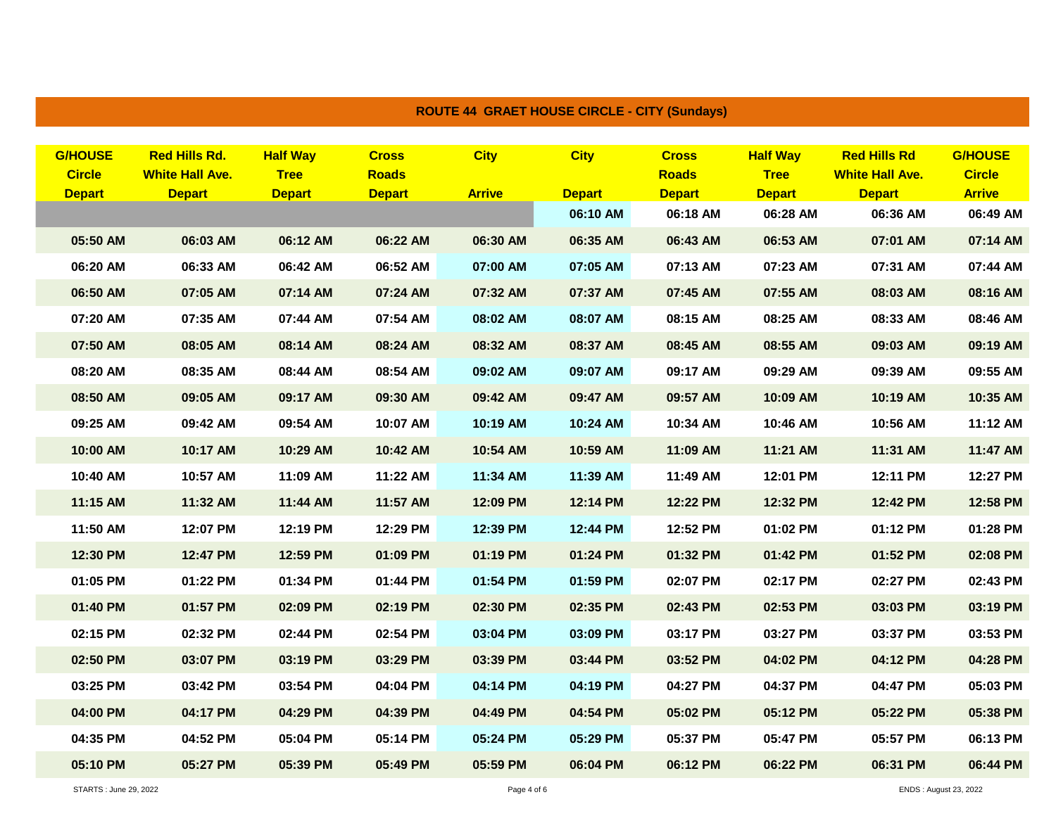| <b>ROUTE 44 GRAET HOUSE CIRCLE - CITY (Sundays)</b> |                                                  |                                                                 |                                                 |                                               |                              |                                          |                                                           |                                                             |                                                                            |                                                              |
|-----------------------------------------------------|--------------------------------------------------|-----------------------------------------------------------------|-------------------------------------------------|-----------------------------------------------|------------------------------|------------------------------------------|-----------------------------------------------------------|-------------------------------------------------------------|----------------------------------------------------------------------------|--------------------------------------------------------------|
|                                                     | <b>G/HOUSE</b><br><b>Circle</b><br><b>Depart</b> | <b>Red Hills Rd.</b><br><b>White Hall Ave.</b><br><b>Depart</b> | <b>Half Way</b><br><b>Tree</b><br><b>Depart</b> | <b>Cross</b><br><b>Roads</b><br><b>Depart</b> | <b>City</b><br><b>Arrive</b> | <b>City</b><br><b>Depart</b><br>06:10 AM | <b>Cross</b><br><b>Roads</b><br><b>Depart</b><br>06:18 AM | <b>Half Way</b><br><b>Tree</b><br><b>Depart</b><br>06:28 AM | <b>Red Hills Rd</b><br><b>White Hall Ave.</b><br><b>Depart</b><br>06:36 AM | <b>G/HOUSE</b><br><b>Circle</b><br><b>Arrive</b><br>06:49 AM |
|                                                     | 05:50 AM                                         | 06:03 AM                                                        | 06:12 AM                                        | 06:22 AM                                      | 06:30 AM                     | 06:35 AM                                 | 06:43 AM                                                  | 06:53 AM                                                    | 07:01 AM                                                                   | 07:14 AM                                                     |
|                                                     | 06:20 AM                                         | 06:33 AM                                                        | 06:42 AM                                        | 06:52 AM                                      | 07:00 AM                     | 07:05 AM                                 | 07:13 AM                                                  | 07:23 AM                                                    | 07:31 AM                                                                   | 07:44 AM                                                     |
|                                                     | 06:50 AM                                         | 07:05 AM                                                        | 07:14 AM                                        | 07:24 AM                                      | 07:32 AM                     | 07:37 AM                                 | 07:45 AM                                                  | 07:55 AM                                                    | 08:03 AM                                                                   | 08:16 AM                                                     |
|                                                     | 07:20 AM                                         | 07:35 AM                                                        | 07:44 AM                                        | 07:54 AM                                      | 08:02 AM                     | 08:07 AM                                 | 08:15 AM                                                  | 08:25 AM                                                    | 08:33 AM                                                                   | 08:46 AM                                                     |
|                                                     | 07:50 AM                                         | 08:05 AM                                                        | 08:14 AM                                        | 08:24 AM                                      | 08:32 AM                     | 08:37 AM                                 | 08:45 AM                                                  | 08:55 AM                                                    | 09:03 AM                                                                   | 09:19 AM                                                     |
|                                                     | 08:20 AM                                         | 08:35 AM                                                        | 08:44 AM                                        | 08:54 AM                                      | 09:02 AM                     | 09:07 AM                                 | 09:17 AM                                                  | 09:29 AM                                                    | 09:39 AM                                                                   | 09:55 AM                                                     |
|                                                     | 08:50 AM                                         | 09:05 AM                                                        | 09:17 AM                                        | 09:30 AM                                      | 09:42 AM                     | 09:47 AM                                 | 09:57 AM                                                  | 10:09 AM                                                    | 10:19 AM                                                                   | 10:35 AM                                                     |
|                                                     | 09:25 AM                                         | 09:42 AM                                                        | 09:54 AM                                        | 10:07 AM                                      | 10:19 AM                     | 10:24 AM                                 | 10:34 AM                                                  | 10:46 AM                                                    | 10:56 AM                                                                   | 11:12 AM                                                     |
|                                                     | 10:00 AM                                         | 10:17 AM                                                        | 10:29 AM                                        | 10:42 AM                                      | 10:54 AM                     | 10:59 AM                                 | 11:09 AM                                                  | 11:21 AM                                                    | 11:31 AM                                                                   | 11:47 AM                                                     |
|                                                     | 10:40 AM                                         | 10:57 AM                                                        | 11:09 AM                                        | 11:22 AM                                      | 11:34 AM                     | 11:39 AM                                 | 11:49 AM                                                  | 12:01 PM                                                    | 12:11 PM                                                                   | 12:27 PM                                                     |
|                                                     | 11:15 AM                                         | 11:32 AM                                                        | 11:44 AM                                        | 11:57 AM                                      | 12:09 PM                     | 12:14 PM                                 | 12:22 PM                                                  | 12:32 PM                                                    | 12:42 PM                                                                   | 12:58 PM                                                     |
|                                                     | 11:50 AM                                         | 12:07 PM                                                        | 12:19 PM                                        | 12:29 PM                                      | 12:39 PM                     | 12:44 PM                                 | 12:52 PM                                                  | 01:02 PM                                                    | 01:12 PM                                                                   | 01:28 PM                                                     |
|                                                     | 12:30 PM                                         | 12:47 PM                                                        | 12:59 PM                                        | 01:09 PM                                      | 01:19 PM                     | 01:24 PM                                 | 01:32 PM                                                  | 01:42 PM                                                    | 01:52 PM                                                                   | 02:08 PM                                                     |
|                                                     | 01:05 PM                                         | 01:22 PM                                                        | 01:34 PM                                        | 01:44 PM                                      | 01:54 PM                     | 01:59 PM                                 | 02:07 PM                                                  | 02:17 PM                                                    | 02:27 PM                                                                   | 02:43 PM                                                     |
|                                                     | 01:40 PM                                         | 01:57 PM                                                        | 02:09 PM                                        | 02:19 PM                                      | 02:30 PM                     | 02:35 PM                                 | 02:43 PM                                                  | 02:53 PM                                                    | 03:03 PM                                                                   | 03:19 PM                                                     |
|                                                     | 02:15 PM                                         | 02:32 PM                                                        | 02:44 PM                                        | 02:54 PM                                      | 03:04 PM                     | 03:09 PM                                 | 03:17 PM                                                  | 03:27 PM                                                    | 03:37 PM                                                                   | 03:53 PM                                                     |
|                                                     | 02:50 PM                                         | 03:07 PM                                                        | 03:19 PM                                        | 03:29 PM                                      | 03:39 PM                     | 03:44 PM                                 | 03:52 PM                                                  | 04:02 PM                                                    | 04:12 PM                                                                   | 04:28 PM                                                     |
|                                                     | 03:25 PM                                         | 03:42 PM                                                        | 03:54 PM                                        | 04:04 PM                                      | 04:14 PM                     | 04:19 PM                                 | 04:27 PM                                                  | 04:37 PM                                                    | 04:47 PM                                                                   | 05:03 PM                                                     |
|                                                     | 04:00 PM                                         | 04:17 PM                                                        | 04:29 PM                                        | 04:39 PM                                      | 04:49 PM                     | 04:54 PM                                 | 05:02 PM                                                  | 05:12 PM                                                    | 05:22 PM                                                                   | 05:38 PM                                                     |
|                                                     | 04:35 PM                                         | 04:52 PM                                                        | 05:04 PM                                        | 05:14 PM                                      | 05:24 PM                     | 05:29 PM                                 | 05:37 PM                                                  | 05:47 PM                                                    | 05:57 PM                                                                   | 06:13 PM                                                     |
|                                                     | 05:10 PM                                         | 05:27 PM                                                        | 05:39 PM                                        | 05:49 PM                                      | 05:59 PM                     | 06:04 PM                                 | 06:12 PM                                                  | 06:22 PM                                                    | 06:31 PM                                                                   | 06:44 PM                                                     |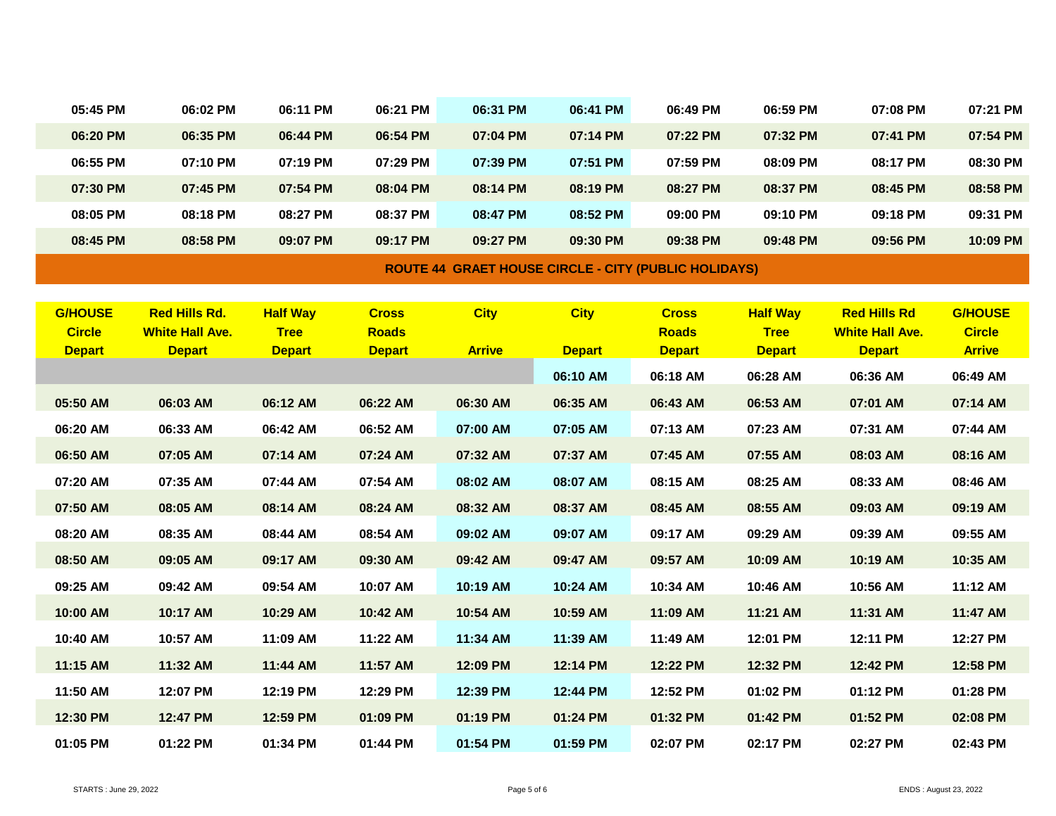| 05:45 PM                        | 06:02 PM                                       | 06:11 PM                       | 06:21 PM                     | 06:31 PM      | 06:41 PM      | 06:49 PM                                                    | 06:59 PM                       | 07:08 PM                                      | 07:21 PM                        |
|---------------------------------|------------------------------------------------|--------------------------------|------------------------------|---------------|---------------|-------------------------------------------------------------|--------------------------------|-----------------------------------------------|---------------------------------|
| 06:20 PM                        | 06:35 PM                                       | 06:44 PM                       | 06:54 PM                     | 07:04 PM      | 07:14 PM      | 07:22 PM                                                    | 07:32 PM                       | 07:41 PM                                      | 07:54 PM                        |
| 06:55 PM                        | 07:10 PM                                       | 07:19 PM                       | 07:29 PM                     | 07:39 PM      | 07:51 PM      | 07:59 PM                                                    | 08:09 PM                       | 08:17 PM                                      | 08:30 PM                        |
| 07:30 PM                        | 07:45 PM                                       | 07:54 PM                       | 08:04 PM                     | 08:14 PM      | 08:19 PM      | 08:27 PM                                                    | 08:37 PM                       | 08:45 PM                                      | 08:58 PM                        |
| 08:05 PM                        | 08:18 PM                                       | 08:27 PM                       | 08:37 PM                     | 08:47 PM      | 08:52 PM      | 09:00 PM                                                    | 09:10 PM                       | 09:18 PM                                      | 09:31 PM                        |
| 08:45 PM                        | 08:58 PM                                       | 09:07 PM                       | 09:17 PM                     | 09:27 PM      | 09:30 PM      | 09:38 PM                                                    | 09:48 PM                       | 09:56 PM                                      | 10:09 PM                        |
|                                 |                                                |                                |                              |               |               | <b>ROUTE 44 GRAET HOUSE CIRCLE - CITY (PUBLIC HOLIDAYS)</b> |                                |                                               |                                 |
|                                 |                                                |                                |                              |               |               |                                                             |                                |                                               |                                 |
| <b>G/HOUSE</b><br><b>Circle</b> | <b>Red Hills Rd.</b><br><b>White Hall Ave.</b> | <b>Half Way</b><br><b>Tree</b> | <b>Cross</b><br><b>Roads</b> | <b>City</b>   | <b>City</b>   | <b>Cross</b><br><b>Roads</b>                                | <b>Half Way</b><br><b>Tree</b> | <b>Red Hills Rd</b><br><b>White Hall Ave.</b> | <b>G/HOUSE</b><br><b>Circle</b> |
| <b>Depart</b>                   | <b>Depart</b>                                  | <b>Depart</b>                  | <b>Depart</b>                | <b>Arrive</b> | <b>Depart</b> | <b>Depart</b>                                               | <b>Depart</b>                  | <b>Depart</b>                                 | <b>Arrive</b>                   |
|                                 |                                                |                                |                              |               | 06:10 AM      | 06:18 AM                                                    | 06:28 AM                       | 06:36 AM                                      | 06:49 AM                        |
| 05:50 AM                        | 06:03 AM                                       | 06:12 AM                       | 06:22 AM                     | 06:30 AM      | 06:35 AM      | 06:43 AM                                                    | 06:53 AM                       | 07:01 AM                                      | 07:14 AM                        |
| 06:20 AM                        | 06:33 AM                                       | 06:42 AM                       | 06:52 AM                     | 07:00 AM      | 07:05 AM      | 07:13 AM                                                    | 07:23 AM                       | 07:31 AM                                      | 07:44 AM                        |
| 06:50 AM                        | 07:05 AM                                       | 07:14 AM                       | 07:24 AM                     | 07:32 AM      | 07:37 AM      | 07:45 AM                                                    | 07:55 AM                       | 08:03 AM                                      | 08:16 AM                        |
| 07:20 AM                        | 07:35 AM                                       | 07:44 AM                       | 07:54 AM                     | 08:02 AM      | 08:07 AM      | 08:15 AM                                                    | 08:25 AM                       | 08:33 AM                                      | 08:46 AM                        |
| 07:50 AM                        | 08:05 AM                                       | 08:14 AM                       | 08:24 AM                     | 08:32 AM      | 08:37 AM      | 08:45 AM                                                    | 08:55 AM                       | 09:03 AM                                      | 09:19 AM                        |
| 08:20 AM                        | 08:35 AM                                       | 08:44 AM                       | 08:54 AM                     | 09:02 AM      | 09:07 AM      | 09:17 AM                                                    | 09:29 AM                       | 09:39 AM                                      | 09:55 AM                        |
| 08:50 AM                        | 09:05 AM                                       | 09:17 AM                       | 09:30 AM                     | 09:42 AM      | 09:47 AM      | 09:57 AM                                                    | 10:09 AM                       | 10:19 AM                                      | 10:35 AM                        |
| 09:25 AM                        | 09:42 AM                                       | 09:54 AM                       | 10:07 AM                     | 10:19 AM      | 10:24 AM      | 10:34 AM                                                    | 10:46 AM                       | 10:56 AM                                      | 11:12 AM                        |
| 10:00 AM                        | 10:17 AM                                       | 10:29 AM                       | 10:42 AM                     | 10:54 AM      | 10:59 AM      | 11:09 AM                                                    | 11:21 AM                       | 11:31 AM                                      | 11:47 AM                        |
| 10:40 AM                        | 10:57 AM                                       | 11:09 AM                       | 11:22 AM                     | 11:34 AM      | 11:39 AM      | 11:49 AM                                                    | 12:01 PM                       | 12:11 PM                                      | 12:27 PM                        |
| 11:15 AM                        | 11:32 AM                                       | 11:44 AM                       | 11:57 AM                     | 12:09 PM      | 12:14 PM      | 12:22 PM                                                    | 12:32 PM                       | 12:42 PM                                      | 12:58 PM                        |
| 11:50 AM                        | 12:07 PM                                       | 12:19 PM                       | 12:29 PM                     | 12:39 PM      | 12:44 PM      | 12:52 PM                                                    | 01:02 PM                       | 01:12 PM                                      | 01:28 PM                        |
| 12:30 PM                        | 12:47 PM                                       | 12:59 PM                       | 01:09 PM                     | 01:19 PM      | 01:24 PM      | 01:32 PM                                                    | 01:42 PM                       | 01:52 PM                                      | 02:08 PM                        |
| 01:05 PM                        | 01:22 PM                                       | 01:34 PM                       | 01:44 PM                     | 01:54 PM      | 01:59 PM      | 02:07 PM                                                    | 02:17 PM                       | 02:27 PM                                      | 02:43 PM                        |